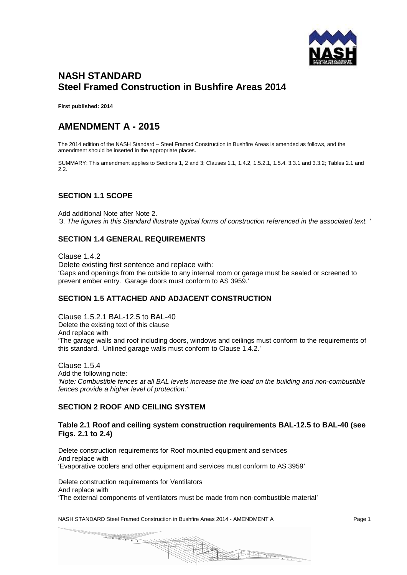

# **NASH STANDARD Steel Framed Construction in Bushfire Areas 2014**

**First published: 2014**

## **AMENDMENT A - 2015**

The 2014 edition of the NASH Standard – Steel Framed Construction in Bushfire Areas is amended as follows, and the amendment should be inserted in the appropriate places.

SUMMARY: This amendment applies to Sections 1, 2 and 3; Clauses 1.1, 1.4.2, 1.5.2.1, 1.5.4, 3.3.1 and 3.3.2; Tables 2.1 and 2.2.

## **SECTION 1.1 SCOPE**

Add additional Note after Note 2. *'3. The figures in this Standard illustrate typical forms of construction referenced in the associated text. '*

## **SECTION 1.4 GENERAL REQUIREMENTS**

Clause 1.4.2 Delete existing first sentence and replace with: 'Gaps and openings from the outside to any internal room or garage must be sealed or screened to prevent ember entry. Garage doors must conform to AS 3959.'

### **SECTION 1.5 ATTACHED AND ADJACENT CONSTRUCTION**

Clause 1.5.2.1 BAL-12.5 to BAL-40 Delete the existing text of this clause And replace with 'The garage walls and roof including doors, windows and ceilings must conform to the requirements of this standard. Unlined garage walls must conform to Clause 1.4.2.'

Clause 1.5.4 Add the following note: *'Note: Combustible fences at all BAL levels increase the fire load on the building and non-combustible fences provide a higher level of protection.'*

### **SECTION 2 ROOF AND CEILING SYSTEM**

#### **Table 2.1 Roof and ceiling system construction requirements BAL-12.5 to BAL-40 (see Figs. 2.1 to 2.4)**

Delete construction requirements for Roof mounted equipment and services And replace with 'Evaporative coolers and other equipment and services must conform to AS 3959'

Delete construction requirements for Ventilators And replace with 'The external components of ventilators must be made from non-combustible material'

NASH STANDARD Steel Framed Construction in Bushfire Areas 2014 - AMENDMENT A Page 1